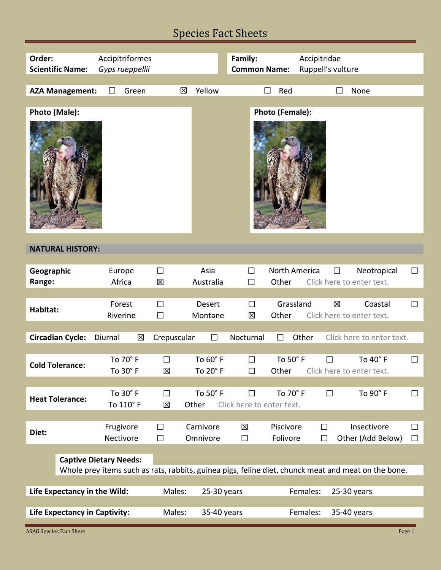# Species Fact Sheets

| Order:<br><b>Scientific Name:</b>                                                                   | Accipitriformes<br>Gyps rueppellii |                       |                       | Family:<br><b>Common Name:</b> |                         | Accipitridae<br>Ruppell's vulture |                                             |                  |
|-----------------------------------------------------------------------------------------------------|------------------------------------|-----------------------|-----------------------|--------------------------------|-------------------------|-----------------------------------|---------------------------------------------|------------------|
|                                                                                                     |                                    |                       |                       |                                |                         |                                   |                                             |                  |
| <b>AZA Management:</b>                                                                              | Green<br>П                         | 図                     | Yellow                | П                              | Red                     | П                                 | None                                        |                  |
| Photo (Male):                                                                                       |                                    |                       |                       |                                | Photo (Female):         |                                   |                                             |                  |
| <b>NATURAL HISTORY:</b>                                                                             |                                    |                       |                       |                                |                         |                                   |                                             |                  |
| Geographic<br>Range:                                                                                | Europe<br>Africa                   | $\Box$<br>図           | Asia<br>Australia     | $\Box$<br>$\Box$               | North America<br>Other  | $\Box$                            | Neotropical<br>Click here to enter text.    | $\Box$           |
|                                                                                                     |                                    |                       |                       |                                |                         |                                   |                                             |                  |
| Habitat:                                                                                            | Forest<br>Riverine                 | $\Box$<br>$\Box$      | Desert<br>Montane     | $\Box$<br>区                    | Grassland<br>Other      | 冈                                 | Coastal<br>Click here to enter text.        | $\Box$           |
| <b>Circadian Cycle:</b>                                                                             | Diurnal<br>区                       | Crepuscular           | $\Box$                | Nocturnal                      | Other<br>$\Box$         |                                   | Click here to enter text.                   |                  |
| <b>Cold Tolerance:</b>                                                                              | To 70° F<br>To 30° F               | $\Box$<br>区           | To 60° F<br>To 20° F  | $\Box$<br>$\Box$               | To 50° F                | $\Box$                            | To 40° F<br>Other Click here to enter text. | $\Box$           |
| <b>Heat Tolerance:</b>                                                                              | To 30° F<br>To 110° F              | $\Box$<br>区           | To 50° F<br>Other     | П<br>Click here to enter text. | To 70° F                | $\Box$                            | To 90° F                                    | □                |
|                                                                                                     |                                    |                       |                       |                                |                         |                                   |                                             |                  |
| Diet:                                                                                               | Frugivore<br>Nectivore             | $\Box$<br>$\Box$      | Carnivore<br>Omnivore | 冈<br>$\Box$                    | Piscivore<br>Folivore   | $\Box$<br>$\Box$                  | Insectivore<br>Other (Add Below)            | $\Box$<br>$\Box$ |
| <b>Captive Dietary Needs:</b>                                                                       |                                    |                       |                       |                                |                         |                                   |                                             |                  |
| Whole prey items such as rats, rabbits, guinea pigs, feline diet, chunck meat and meat on the bone. |                                    |                       |                       |                                |                         |                                   |                                             |                  |
| Life Expectancy in the Wild:                                                                        | Males:                             | 25-30 years           |                       |                                | Females:<br>25-30 years |                                   |                                             |                  |
| <b>Life Expectancy in Captivity:</b>                                                                |                                    | Males:<br>35-40 years |                       | Females:                       |                         |                                   | 35-40 years                                 |                  |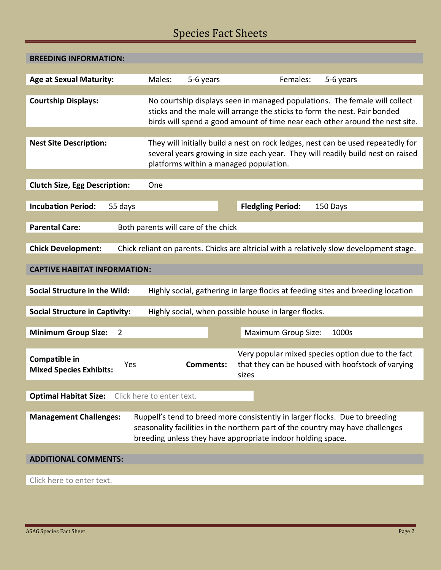# Species Fact Sheets

| <b>BREEDING INFORMATION:</b>                                                                                            |                                                                                                                                                                                                                                         |                                                                                                                                                                                                                              |  |  |  |  |  |  |
|-------------------------------------------------------------------------------------------------------------------------|-----------------------------------------------------------------------------------------------------------------------------------------------------------------------------------------------------------------------------------------|------------------------------------------------------------------------------------------------------------------------------------------------------------------------------------------------------------------------------|--|--|--|--|--|--|
| <b>Age at Sexual Maturity:</b>                                                                                          | Males:<br>5-6 years                                                                                                                                                                                                                     | Females:<br>5-6 years                                                                                                                                                                                                        |  |  |  |  |  |  |
|                                                                                                                         |                                                                                                                                                                                                                                         |                                                                                                                                                                                                                              |  |  |  |  |  |  |
| <b>Courtship Displays:</b>                                                                                              | No courtship displays seen in managed populations. The female will collect<br>sticks and the male will arrange the sticks to form the nest. Pair bonded<br>birds will spend a good amount of time near each other around the nest site. |                                                                                                                                                                                                                              |  |  |  |  |  |  |
|                                                                                                                         |                                                                                                                                                                                                                                         |                                                                                                                                                                                                                              |  |  |  |  |  |  |
| <b>Nest Site Description:</b>                                                                                           | They will initially build a nest on rock ledges, nest can be used repeatedly for<br>several years growing in size each year. They will readily build nest on raised<br>platforms within a managed population.                           |                                                                                                                                                                                                                              |  |  |  |  |  |  |
|                                                                                                                         |                                                                                                                                                                                                                                         |                                                                                                                                                                                                                              |  |  |  |  |  |  |
| <b>Clutch Size, Egg Description:</b>                                                                                    | One                                                                                                                                                                                                                                     |                                                                                                                                                                                                                              |  |  |  |  |  |  |
| <b>Incubation Period:</b><br>55 days                                                                                    |                                                                                                                                                                                                                                         | <b>Fledgling Period:</b><br>150 Days                                                                                                                                                                                         |  |  |  |  |  |  |
|                                                                                                                         |                                                                                                                                                                                                                                         |                                                                                                                                                                                                                              |  |  |  |  |  |  |
| <b>Parental Care:</b><br>Both parents will care of the chick                                                            |                                                                                                                                                                                                                                         |                                                                                                                                                                                                                              |  |  |  |  |  |  |
| <b>Chick Development:</b><br>Chick reliant on parents. Chicks are altricial with a relatively slow development stage.   |                                                                                                                                                                                                                                         |                                                                                                                                                                                                                              |  |  |  |  |  |  |
| <b>CAPTIVE HABITAT INFORMATION:</b>                                                                                     |                                                                                                                                                                                                                                         |                                                                                                                                                                                                                              |  |  |  |  |  |  |
| <b>Social Structure in the Wild:</b><br>Highly social, gathering in large flocks at feeding sites and breeding location |                                                                                                                                                                                                                                         |                                                                                                                                                                                                                              |  |  |  |  |  |  |
|                                                                                                                         |                                                                                                                                                                                                                                         |                                                                                                                                                                                                                              |  |  |  |  |  |  |
| <b>Social Structure in Captivity:</b><br>Highly social, when possible house in larger flocks.                           |                                                                                                                                                                                                                                         |                                                                                                                                                                                                                              |  |  |  |  |  |  |
|                                                                                                                         |                                                                                                                                                                                                                                         |                                                                                                                                                                                                                              |  |  |  |  |  |  |
| <b>Minimum Group Size:</b><br>$\overline{2}$                                                                            |                                                                                                                                                                                                                                         | <b>Maximum Group Size:</b><br>1000s                                                                                                                                                                                          |  |  |  |  |  |  |
| Compatible in<br>Yes<br><b>Mixed Species Exhibits:</b>                                                                  | <b>Comments:</b>                                                                                                                                                                                                                        | Very popular mixed species option due to the fact<br>that they can be housed with hoofstock of varying<br>sizes                                                                                                              |  |  |  |  |  |  |
|                                                                                                                         |                                                                                                                                                                                                                                         |                                                                                                                                                                                                                              |  |  |  |  |  |  |
| <b>Optimal Habitat Size:</b>                                                                                            | Click here to enter text.                                                                                                                                                                                                               |                                                                                                                                                                                                                              |  |  |  |  |  |  |
|                                                                                                                         |                                                                                                                                                                                                                                         |                                                                                                                                                                                                                              |  |  |  |  |  |  |
| <b>Management Challenges:</b>                                                                                           |                                                                                                                                                                                                                                         | Ruppell's tend to breed more consistently in larger flocks. Due to breeding<br>seasonality facilities in the northern part of the country may have challenges<br>breeding unless they have appropriate indoor holding space. |  |  |  |  |  |  |
|                                                                                                                         |                                                                                                                                                                                                                                         |                                                                                                                                                                                                                              |  |  |  |  |  |  |
| <b>ADDITIONAL COMMENTS:</b>                                                                                             |                                                                                                                                                                                                                                         |                                                                                                                                                                                                                              |  |  |  |  |  |  |
|                                                                                                                         |                                                                                                                                                                                                                                         |                                                                                                                                                                                                                              |  |  |  |  |  |  |
| Click here to enter text.                                                                                               |                                                                                                                                                                                                                                         |                                                                                                                                                                                                                              |  |  |  |  |  |  |
|                                                                                                                         |                                                                                                                                                                                                                                         |                                                                                                                                                                                                                              |  |  |  |  |  |  |